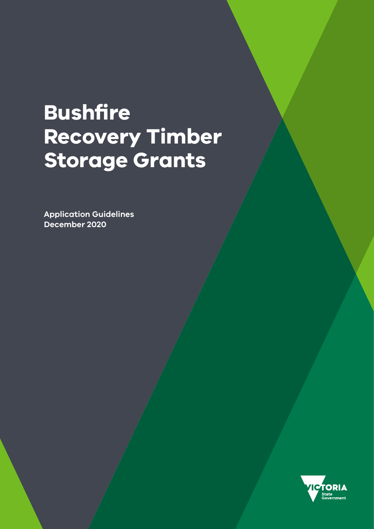# **Bushfire Recovery Timber Storage Grants**

**Application Guidelines December 2020**

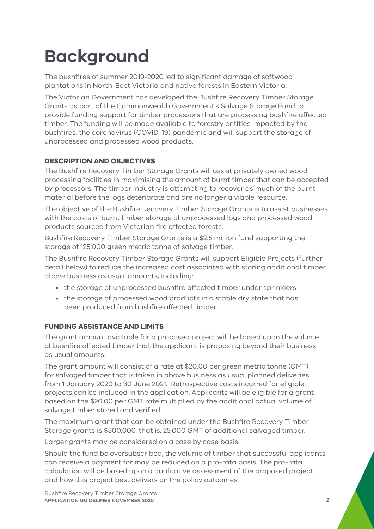# **Background**

The bushfires of summer 2019-2020 led to significant damage of softwood plantations in North-East Victoria and native forests in Eastern Victoria.

The Victorian Government has developed the Bushfire Recovery Timber Storage Grants as part of the Commonwealth Government's Salvage Storage Fund to provide funding support for timber processors that are processing bushfire affected timber. The funding will be made available to forestry entities impacted by the bushfires, the coronavirus (COVID-19) pandemic and will support the storage of unprocessed and processed wood products.

### **DESCRIPTION AND OBJECTIVES**

The Bushfire Recovery Timber Storage Grants will assist privately owned wood processing facilities in maximising the amount of burnt timber that can be accepted by processors. The timber industry is attempting to recover as much of the burnt material before the logs deteriorate and are no longer a viable resource.

The objective of the Bushfire Recovery Timber Storage Grants is to assist businesses with the costs of burnt timber storage of unprocessed logs and processed wood products sourced from Victorian fire affected forests.

Bushfire Recovery Timber Storage Grants is a \$2.5 million fund supporting the storage of 125,000 green metric tonne of salvage timber.

The Bushfire Recovery Timber Storage Grants will support Eligible Projects (further detail below) to reduce the increased cost associated with storing additional timber above business as usual amounts, including:

- the storage of unprocessed bushfire affected timber under sprinklers
- the storage of processed wood products in a stable dry state that has been produced from bushfire affected timber.

### **FUNDING ASSISTANCE AND LIMITS**

The grant amount available for a proposed project will be based upon the volume of bushfire affected timber that the applicant is proposing beyond their business as usual amounts.

The grant amount will consist of a rate at \$20.00 per green metric tonne (GMT) for salvaged timber that is taken in above business as usual planned deliveries from 1 January 2020 to 30 June 2021. Retrospective costs incurred for eligible projects can be included in the application. Applicants will be eligible for a grant based on the \$20.00 per GMT rate multiplied by the additional actual volume of salvage timber stored and verified.

The maximum grant that can be obtained under the Bushfire Recovery Timber Storage grants is \$500,000, that is, 25,000 GMT of additional salvaged timber.

Larger grants may be considered on a case by case basis.

Should the fund be oversubscribed, the volume of timber that successful applicants can receive a payment for may be reduced on a pro-rata basis. The pro-rata calculation will be based upon a qualitative assessment of the proposed project and how this project best delivers on the policy outcomes.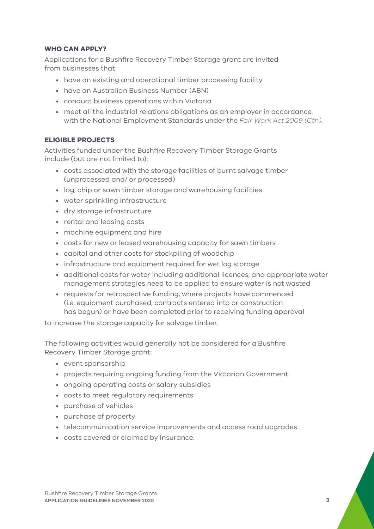#### **WHO CAN APPLY?**

Applications for a Bushfire Recovery Timber Storage grant are invited from businesses that:

- have an existing and operational timber processing facility
- have an Australian Business Number (ABN)
- conduct business operations within Victoria
- meet all the industrial relations obligations as an employer in accordance with the National Employment Standards under the *Fair Work Act 2009 (Cth).*

#### **ELIGIBLE PROJECTS**

Activities funded under the Bushfire Recovery Timber Storage Grants include (but are not limited to):

- costs associated with the storage facilities of burnt salvage timber (unprocessed and/ or processed)
- log, chip or sawn timber storage and warehousing facilities
- water sprinkling infrastructure
- dry storage infrastructure
- rental and leasing costs
- machine equipment and hire
- costs for new or leased warehousing capacity for sawn timbers
- capital and other costs for stockpiling of woodchip
- infrastructure and equipment required for wet log storage
- additional costs for water including additional licences, and appropriate water management strategies need to be applied to ensure water is not wasted
- requests for retrospective funding, where projects have commenced (i.e. equipment purchased, contracts entered into or construction has begun) or have been completed prior to receiving funding approval

to increase the storage capacity for salvage timber.

The following activities would generally not be considered for a Bushfire Recovery Timber Storage grant:

- event sponsorship
- projects requiring ongoing funding from the Victorian Government
- ongoing operating costs or salary subsidies
- costs to meet regulatory requirements
- purchase of vehicles
- purchase of property
- telecommunication service improvements and access road upgrades
- costs covered or claimed by insurance.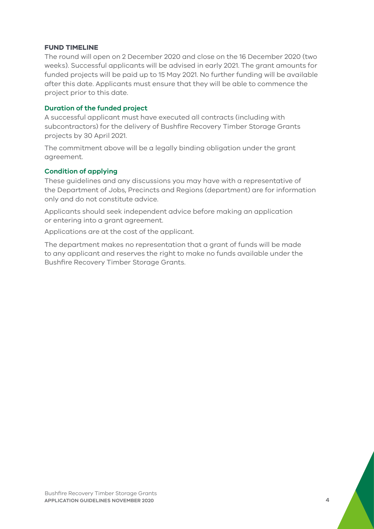#### **FUND TIMELINE**

The round will open on 2 December 2020 and close on the 16 December 2020 (two weeks). Successful applicants will be advised in early 2021. The grant amounts for funded projects will be paid up to 15 May 2021. No further funding will be available after this date. Applicants must ensure that they will be able to commence the project prior to this date.

#### **Duration of the funded project**

A successful applicant must have executed all contracts (including with subcontractors) for the delivery of Bushfire Recovery Timber Storage Grants projects by 30 April 2021.

The commitment above will be a legally binding obligation under the grant agreement.

#### **Condition of applying**

These guidelines and any discussions you may have with a representative of the Department of Jobs, Precincts and Regions (department) are for information only and do not constitute advice.

Applicants should seek independent advice before making an application or entering into a grant agreement.

Applications are at the cost of the applicant.

The department makes no representation that a grant of funds will be made to any applicant and reserves the right to make no funds available under the Bushfire Recovery Timber Storage Grants.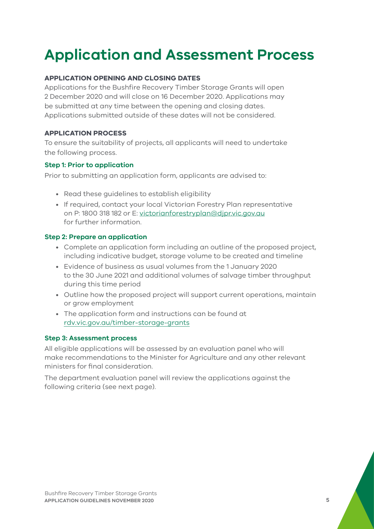# **Application and Assessment Process**

### **APPLICATION OPENING AND CLOSING DATES**

Applications for the Bushfire Recovery Timber Storage Grants will open 2 December 2020 and will close on 16 December 2020. Applications may be submitted at any time between the opening and closing dates. Applications submitted outside of these dates will not be considered.

### **APPLICATION PROCESS**

To ensure the suitability of projects, all applicants will need to undertake the following process.

#### **Step 1: Prior to application**

Prior to submitting an application form, applicants are advised to:

- Read these guidelines to establish eligibility
- If required, contact your local Victorian Forestry Plan representative on P: 1800 318 182 or E: [victorianforestryplan@djpr.vic.gov.au](mailto:victorianforestryplan@djpr.vic.gov.au) for further information.

#### **Step 2: Prepare an application**

- Complete an application form including an outline of the proposed project, including indicative budget, storage volume to be created and timeline
- Evidence of business as usual volumes from the 1 January 2020 to the 30 June 2021 and additional volumes of salvage timber throughput during this time period
- Outline how the proposed project will support current operations, maintain or grow employment
- The application form and instructions can be found at rdv.vic.gov.au/[timber-storage-g](https://www.rdv.vic.gov.au/grants-and-programs/bushfire-recovery-timber-storage-grants)rants

#### **Step 3: Assessment process**

All eligible applications will be assessed by an evaluation panel who will make recommendations to the Minister for Agriculture and any other relevant ministers for final consideration.

The department evaluation panel will review the applications against the following criteria (see next page).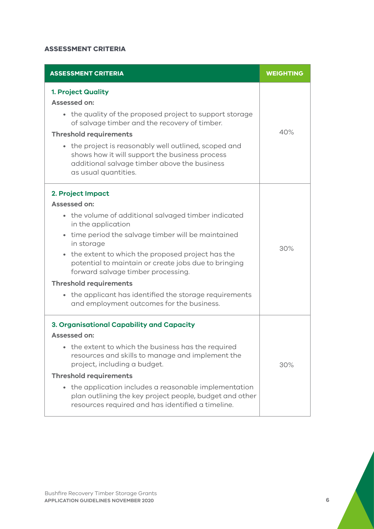### **ASSESSMENT CRITERIA**

| <b>ASSESSMENT CRITERIA</b>                                                                                                                                                                                                                                                                                                                                                                                                                                                                                     | <b>WEIGHTING</b> |
|----------------------------------------------------------------------------------------------------------------------------------------------------------------------------------------------------------------------------------------------------------------------------------------------------------------------------------------------------------------------------------------------------------------------------------------------------------------------------------------------------------------|------------------|
| <b>1. Project Quality</b><br><b>Assessed on:</b><br>the quality of the proposed project to support storage<br>$\bullet$<br>of salvage timber and the recovery of timber.<br><b>Threshold requirements</b><br>• the project is reasonably well outlined, scoped and<br>shows how it will support the business process<br>additional salvage timber above the business<br>as usual quantities.                                                                                                                   | 40%              |
| 2. Project Impact<br><b>Assessed on:</b><br>• the volume of additional salvaged timber indicated<br>in the application<br>time period the salvage timber will be maintained<br>$\bullet$<br>in storage<br>• the extent to which the proposed project has the<br>potential to maintain or create jobs due to bringing<br>forward salvage timber processing.<br><b>Threshold requirements</b><br>the applicant has identified the storage requirements<br>$\bullet$<br>and employment outcomes for the business. | 30%              |
| 3. Organisational Capability and Capacity<br><b>Assessed on:</b><br>the extent to which the business has the required<br>resources and skills to manage and implement the<br>project, including a budget.<br><b>Threshold requirements</b><br>the application includes a reasonable implementation<br>$\bullet$<br>plan outlining the key project people, budget and other<br>resources required and has identified a timeline.                                                                                | 30%              |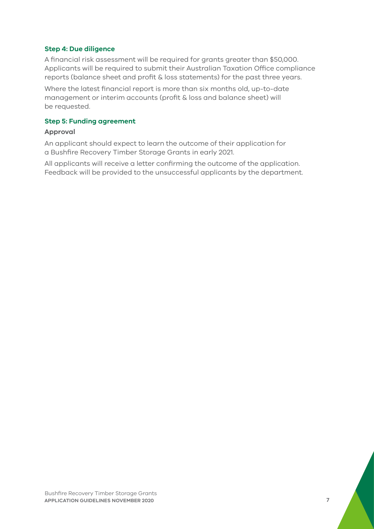#### **Step 4: Due diligence**

A financial risk assessment will be required for grants greater than \$50,000. Applicants will be required to submit their Australian Taxation Office compliance reports (balance sheet and profit & loss statements) for the past three years.

Where the latest financial report is more than six months old, up-to-date management or interim accounts (profit & loss and balance sheet) will be requested.

#### **Step 5: Funding agreement**

#### **Approval**

An applicant should expect to learn the outcome of their application for a Bushfire Recovery Timber Storage Grants in early 2021.

All applicants will receive a letter confirming the outcome of the application. Feedback will be provided to the unsuccessful applicants by the department.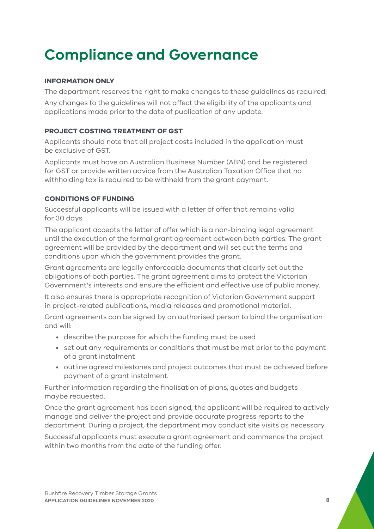# **Compliance and Governance**

### **INFORMATION ONLY**

The department reserves the right to make changes to these guidelines as required.

Any changes to the guidelines will not affect the eligibility of the applicants and applications made prior to the date of publication of any update.

#### **PROJECT COSTING TREATMENT OF GST**

Applicants should note that all project costs included in the application must be exclusive of GST.

Applicants must have an Australian Business Number (ABN) and be registered for GST or provide written advice from the Australian Taxation Office that no withholding tax is required to be withheld from the grant payment.

### **CONDITIONS OF FUNDING**

Successful applicants will be issued with a letter of offer that remains valid for 30 days.

The applicant accepts the letter of offer which is a non-binding legal agreement until the execution of the formal grant agreement between both parties. The grant agreement will be provided by the department and will set out the terms and conditions upon which the government provides the grant.

Grant agreements are legally enforceable documents that clearly set out the obligations of both parties. The grant agreement aims to protect the Victorian Government's interests and ensure the efficient and effective use of public money.

It also ensures there is appropriate recognition of Victorian Government support in project-related publications, media releases and promotional material.

Grant agreements can be signed by an authorised person to bind the organisation and will:

- describe the purpose for which the funding must be used
- set out any requirements or conditions that must be met prior to the payment of a grant instalment
- outline agreed milestones and project outcomes that must be achieved before payment of a grant instalment.

Further information regarding the finalisation of plans, quotes and budgets maybe requested.

Once the grant agreement has been signed, the applicant will be required to actively manage and deliver the project and provide accurate progress reports to the department. During a project, the department may conduct site visits as necessary.

Successful applicants must execute a grant agreement and commence the project within two months from the date of the funding offer.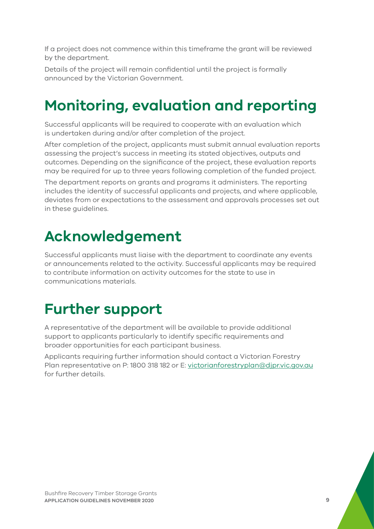If a project does not commence within this timeframe the grant will be reviewed by the department.

Details of the project will remain confidential until the project is formally announced by the Victorian Government.

# **Monitoring, evaluation and reporting**

Successful applicants will be required to cooperate with an evaluation which is undertaken during and/or after completion of the project.

After completion of the project, applicants must submit annual evaluation reports assessing the project's success in meeting its stated objectives, outputs and outcomes. Depending on the significance of the project, these evaluation reports may be required for up to three years following completion of the funded project.

The department reports on grants and programs it administers. The reporting includes the identity of successful applicants and projects, and where applicable, deviates from or expectations to the assessment and approvals processes set out in these guidelines.

## **Acknowledgement**

Successful applicants must liaise with the department to coordinate any events or announcements related to the activity. Successful applicants may be required to contribute information on activity outcomes for the state to use in communications materials.

# **Further support**

A representative of the department will be available to provide additional support to applicants particularly to identify specific requirements and broader opportunities for each participant business.

Applicants requiring further information should contact a Victorian Forestry Plan representative on P: 1800 318 182 or E: [victorianforestryplan@djpr.vic.gov.au](mailto:victorianforestryplan@djpr.vic.gov.au) for further details.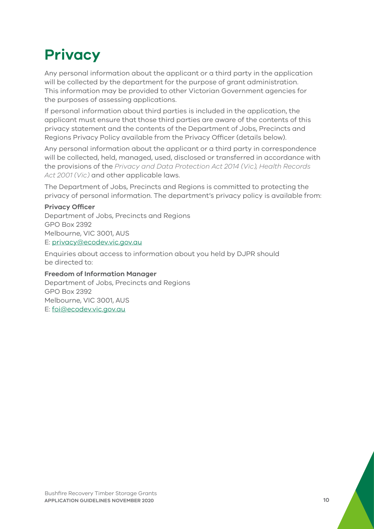# **Privacy**

Any personal information about the applicant or a third party in the application will be collected by the department for the purpose of grant administration. This information may be provided to other Victorian Government agencies for the purposes of assessing applications.

If personal information about third parties is included in the application, the applicant must ensure that those third parties are aware of the contents of this privacy statement and the contents of the Department of Jobs, Precincts and Regions Privacy Policy available from the Privacy Officer (details below).

Any personal information about the applicant or a third party in correspondence will be collected, held, managed, used, disclosed or transferred in accordance with the provisions of the *Privacy and Data Protection Act 2014 (Vic), Health Records Act 2001 (Vic)* and other applicable laws.

The Department of Jobs, Precincts and Regions is committed to protecting the privacy of personal information. The department's privacy policy is available from:

#### **Privacy Officer**

Department of Jobs, Precincts and Regions GPO Box 2392 Melbourne, VIC 3001, AUS E: [privacy@ecodev.vic.gov.au](mailto:privacy@ecodev.vic.gov.au)

Enquiries about access to information about you held by DJPR should be directed to:

#### **Freedom of Information Manager**

Department of Jobs, Precincts and Regions GPO Box 2392 Melbourne, VIC 3001, AUS E: [foi@ecodev.vic.gov.au](mailto:foi@ecodev.vic.gov.au)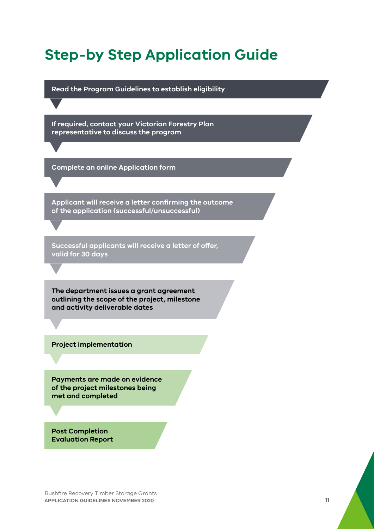### **Step‑by Step Application Guide**

**Read the Program Guidelines to establish eligibility**

**If required, contact your Victorian Forestry Plan representative to discuss the program** 

**Complete an online [Application form](https://businessvic.secure.force.com/PublicForm?id=BRTSGApplication)**

**Applicant will receive a letter confirming the outcome of the application (successful/unsuccessful)**

**Successful applicants will receive a letter of offer, valid for 30 days**

**The department issues a grant agreement outlining the scope of the project, milestone and activity deliverable dates**

**Project implementation**

**Payments are made on evidence of the project milestones being met and completed** 

**Post Completion Evaluation Report**